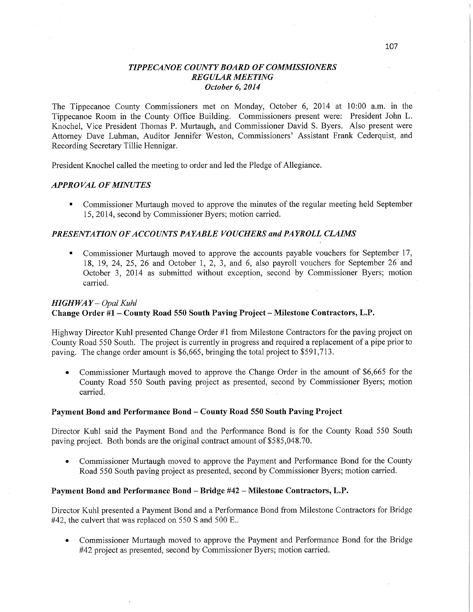### *TIPPE CANOE COUNT Y BOARD* OF *COMMISSIONERS REGULAR MEETING October* 6, *2014*

The Tippecanoe County Commissioners met on Monday, October 6, 2014 at 10:00 **am.** in the Tippecanoe Room in the County Office Building. Commissioners present were: President John L. Knochel, Vice President Thomas P. Murtaugh, and Commissioner David S. Byers. Also present were Attorney Dave Luhman, Auditor Jennifer Weston, Commissioners' Assistant **Frank** Cederquist, and Recording Secretary Tillie Hennigar.

President Knochel called the meeting to order and led the Pledge of Allegiance.

#### *APPROVAL* OF *MINUTES*

**I** Commissioner Murtaugh moved to approve the minutes of the regular meeting held September 15, 2014, second by Commissioner Byers; motion carried.

### *PRESENTATION* OF *ACCOUNT S PAYABLE VOUCHERS* and *PAYROLL CLAIMS*

Commissioner Murtaugh moved to approve the accounts payable vouchers for September 17, 18, 19, 24, 25, 26 and October 1, 2, 3, and 6, also payroll vouchers for September 26 and October 3, 2014 as submitted without exception, second by Commissioner Byers; motion carried. The contract of the contract of the contract of the contract of the contract of the contract of the contract of the contract of the contract of the contract of the contract of the contract of the contract of the c

### *HIGHWAY* — *Opal Kuhl*  **Change Order** #1 **—** County **Road** 550 **South Paving Project** *—* **Milestone Contractors, L.P.**

Highway Director Kuhl presented Change Order #1 from Milestone Contractors for the paving project on County Road 550 South. The project is currently in progress and required a replacement of a pipe prior to paving. The change order amount is \$6,665, bringing the total project to \$591,713.

**•** Commissioner Murtaugh moved to approve the Change Order in the amount of \$6,665 for the County Road 550 South paving project as presented, second by Commissioner Byers; motion carried.

#### **Payment Bond** and **Performance** Bond **— County Road** 550 **South Paving Project**

Director Kuhl said the Payment Bond and the Performance Bond is for the County Road 550 South paving project. Both bonds are the original contract amount of \$585,048.70.

**0** Commissioner Murtaugh moved to approve the Payment and Performance Bond for the County Road 550 South paving project as presented, second by Commissioner Byers; motion carried.

#### **Payment** Bond and **Performance** Bond *—* **Bridge** #42 **—** Milestone **Contractors, L.P.**

Director Kuhl presented a Payment Bond and a Performance Bond from Milestone Contractors for Bridge #42, the culvert that was replaced on 550 **S** and 500 E..

**0** Commissioner Murtaugh moved to approve the Payment and Performance Bond for the Bridge #42 project as presented, second by Commissioner Byers; motion carried.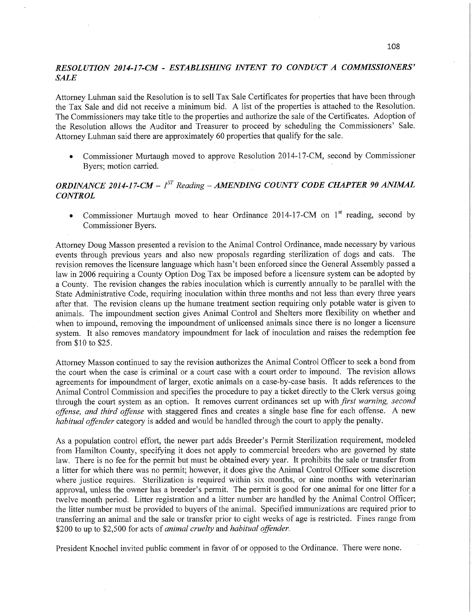## *RESOLUTION 2014-17-CM - ESTABLISHING INTENT T 0 CONDUCT A COMMISSIONERS" SALE*

Attorney Luhman said the Resolution is to sell Tax Sale Certificates for properties that have been through the Tax Sale and did not receive a minimum bid. **A** list of the properties is attached to the Resolution. The Commissioners may take title to the properties and authorize the sale of the Certificates. Adoption of the Resolution allows the Auditor and Treasurer to proceed by scheduling the Commissioners' Sale. Attorney Luhman said there are approximately 60 properties that qualify for the sale.

• Commissioner Murtaugh moved to approve Resolution 2014-17-CM, second by Commissioner Byers; motion carried.

# *ORDINANCE 2014-17-CM—* [ST *Reading— AMENDING COUNTY CODE CHAPTER* 90 *ANIJWAL CONTROL*

• Commissioner Murtaugh moved to hear Ordinance 2014-17-CM on 1<sup>st</sup> reading, second by Commissioner Byers.

Attorney Doug Masson presented a revision to the Animal Control Ordinance, made necessary by various events through previous years and also new proposals regarding sterilization of dogs and cats. The revision removes the licensure language which **hasn't** been enforced since the General Assembly passed <sup>a</sup> law in 2006 requiring **a** County Option Dog Tax be imposed before a licensure system can be adopted by **<sup>a</sup>**County. The revision changes the rabies inoculation which is currently annually to be parallel with the State Administrative Code, requiring inoculation within three months and not less than every three years after that. The revision cleans up the humane treatment section requiring only potable water is given to animals. The impoundment section gives **Animal** Control and Shelters more flexibility on whether and when to impound, removing the impoundment of unlicensed animals since there is no longer a licensure system. It also removes mandatory impoundment for **lack** of inoculation and raises the redemption fee fiom \$10 to \$25.

Attorney Masson continued to say the revision authorizes the Animal Control Officer to seek a bond from the court when the case is criminal or a court case with a court order to impound. The revision allows agreements for impoundment of larger, exotic animals on <sup>a</sup>case-by-case basis. It adds references to the **Animal** Control Commission arid specifies the procedure to pay a ticket directly to the Clerk versus going through the court system as an option. It removes current ordinances set up with *first warning, second ojj'ense,* and *third oflense* with staggered fines and creates a single base fine for each offense. **A** new *habitual oflender* category is added and would be handled through the court to apply the penalty.

As a population control effort, the newer part adds Breeder's Permit Sterilization requirement, modeled from Hamilton County, specifying it does not apply to commercial breeders who are governed by state law. There is no fee for the permit but must be obtained every year. It prohibits the sale or transfer from a litter for which there was no permit; however, it does give the Animal Control Officer some discretion where justice requires. Sterilization is required within six months, or nine months with veterinarian approval, unless the owner has a breeder's permit. The permit is good for one animal for one litter for <sup>a</sup> twelve month period. Litter registration and a litter number are handled by the Animal Control Officer; the litter number must be provided to buyers of the animal. Specified immunizations are required prior to transferring an animal and the sale or transfer prior to eight weeks of age is restricted. Fines range from \$200 to up to \$2,500 for acts of *animal cruelty* and *habitual offender*.

President Knochel invited public comment in favor of or opposed to the Ordinance. There were none.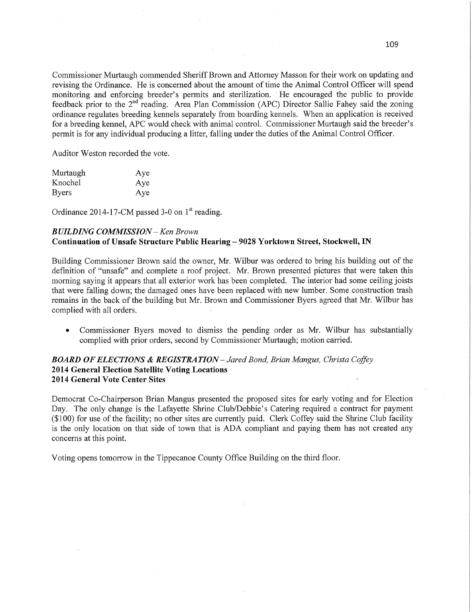Commissioner Murtaugh commended Sheriff Brown and Attorney Masson for their work on updating and revising the Ordinance. He is concemed'about the amount of time the Animal Control Officer will spend monitoring and enforcing breeder's permits and sterilization. ' He encouraged the public to provide feedback prior to the 2<sup>nd</sup> reading. Area Plan Commission (APC) Director Sallie Fahey said the zoning ordinance regulates breeding kennels separately from boarding kennels. When an application is received for a breeding kennel, APC would check with animal control. Commissioner Murtaugh said the breeder's permit is for any individual producing a litter, falling under the duties of the Animal Control Officer.

Auditor Weston recorded the vote.

| Murtaugh     | Aye |
|--------------|-----|
| Knochel      | Aye |
| <b>Byers</b> | Aye |

Ordinance 2014-17-CM passed 3-0 on  $1<sup>st</sup>$  reading.

### *BUILDING COMMISSION* — Ken *Brown*  **Continuation** of **Unsafe Structure Public Hearing** —— **9028 Yorktown Street, Stockwell,** IN

Building Commissioner Brown said the owner, Mr. Wilbur was ordered to bring his building out of the definition of "unsafe" and complete a roof project. Mr. Brown presented pictures that were taken this morning saying it appears that all exterior work has been completed. The interior had some ceiling joists that were falling down; the damaged ones have been replaced with new lumber Some construction trash remains in the back of the building but Mr. Brown and Commissioner Byers agreed that Mr. Wilbur has complied with all orders

**0** Commissioner Byers moved to dismiss the pending order as Mr. Wilbur has substantially complied with prior orders, second by Commissioner Murtaugh; motion carried.

### *BOARD* OF *ELECTIONS &* RE *GISTRA TION* **—** *Jared Bond, Brian Mangus, Christa Coffey*  **2014** General Election **Satellite** Voting **Locations ' 2014 General Vote Center** Sites '\

Democrat Co-Chairperson Brian Mangus presented the proposed sites for early voting and for Election Day. The only change is the Lafayette Shrine Club/Debbie's Catering required a contract for paymen<sup>t</sup> (\$100) for use of the facility; no other sites are currently paid. Clerk Coffey said the Shrine Club facility is the only location on that side of town that is ADA compliant and paying them has not created any concerns at this point.

Voting opens tomorrow in the Tippecanoe County Office Building oh the third floor.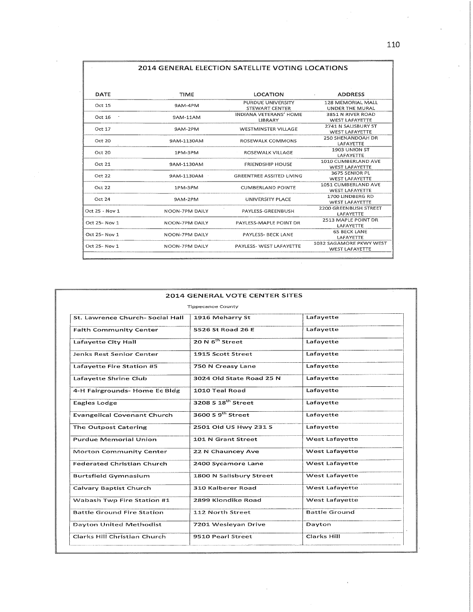|  |  | 2014 GENERAL ELECTION SATELLITE VOTING LOCATIONS |  |
|--|--|--------------------------------------------------|--|
|  |  |                                                  |  |

| DATE           | TIME                                                      | LOCATION                      | <b>ADDRESS</b><br><b>All Control</b> |
|----------------|-----------------------------------------------------------|-------------------------------|--------------------------------------|
| Oct 15         | 9AM-4PM                                                   | PURDUE UNIVERSITY             | 128 MEMORIAL MALL                    |
|                |                                                           | STEWART CENTER                | <b>UNDER THE MURAL</b>               |
| Oct 16         | 9AM-11AM                                                  | <b>INDIANA VETERANS' HOME</b> | 3851 N RIVER ROAD                    |
|                |                                                           | LIBRARY                       | <b>WEST LAFAYETTE</b>                |
| Oct 17         | 9AM-2PM                                                   | WESTMINSTER VILLAGE           | 2741 N SALISBURY ST                  |
|                |                                                           |                               | WEST LAFAYETTE                       |
| Oct 20         | 9AM-1130AM                                                | ROSEWALK COMMONS              | 250 SHENANDOAH DR                    |
|                |                                                           |                               | LAFAYETTE                            |
| Oct20          | 1PM-3PM                                                   | ROSEWALK VILLAGE              | 1903 UNION ST                        |
|                |                                                           |                               | LAFAYETTE                            |
| Oct21          | 9AM-1130AM                                                | <b>FRIENDSHIP HOUSE</b>       | 1010 CUMBERLAND AVE                  |
|                |                                                           |                               | <b>WEST LAFAYETTE</b>                |
| Oct 22         | 9AM-1130AM                                                | GREENTREE ASSITED LIVING      | 3675 SENIOR PL                       |
|                |                                                           |                               | <b>WEST LAFAYETTE</b>                |
|                | Oct 22<br>1PM-3PM                                         | <b>CUMBERLAND POINTE</b>      | 1051 CUMBERLAND AVE                  |
|                |                                                           |                               | <b>WEST LAFAYETTE</b>                |
| Oct 24         | 9AM-2PM                                                   | UNIVERSITY PLACE              | 1700 UNDBERG RD                      |
|                |                                                           |                               | <b>WEST LAFAYETTE</b>                |
| Oct 25 - Nov 1 | NOON-7PM DAILY                                            | PAYLESS-GREENBUSH             | 2200 GREENBUSH STREET                |
|                |                                                           | LAFAYETTE                     |                                      |
|                | Oct 25- Nov 1<br>NOON-7PM DAILY<br>PAYLESS-MAPLE POINT DR |                               | 2513 MAPLE POINT DR                  |
|                |                                                           |                               | LAFAYETTE                            |
| Oct 25- Nov 1  | NOON-7PM DAILY                                            | PAYLESS- BECK LANE            | <b>65 BECK LANE</b>                  |
|                |                                                           |                               | LAFAYETTE                            |
| Oct 25- Nov 1  | NOON-7PM DAILY                                            | PAYLESS- WEST LAFAYETTE       | 1032 SAGAMORE PKWY WEST              |
|                |                                                           |                               | <b>WEST LAFAYETTE</b>                |

 $\overline{\phantom{a}}$ 

|                                    | <b>Tippecanoe County</b>      |                       |
|------------------------------------|-------------------------------|-----------------------|
| St. Lawrence Church- Social Hall   | 1916 Meharry St               | Lafayette             |
| <b>Faith Community Center</b>      | 5526 St Road 26 E             | Lafavette             |
| Lafayette City Hall                | 20 N 6 <sup>th</sup> Street   | Lafayette             |
| <b>Jenks Rest Senior Center</b>    | 1915 Scott Street             | Lafayette             |
| Lafayette Fire Station #5          | 750 N Creasy Lane             | Lafayette             |
| Lafayette Shrine Club              | 3024 Old State Road 25 N      | Lafayette             |
| 4-H Fairgrounds- Home Ec Bldg      | 1010 Teal Road                | Lafavette             |
| Eagles Lodge                       | $3208518^{th}$ Street         | Lafayette             |
| <b>Evangelical Covenant Church</b> | 3600 S <sub>9</sub> th Street | Lafayette             |
| The Outpost Catering               | 2501 Old US Hwy 231 S         | Lafayette             |
| <b>Purdue Memorial Union</b>       | 101 N Grant Street            | West Lafayette        |
| <b>Morton Community Center</b>     | 22 N Chauncey Ave             | <b>West Lafayette</b> |
| <b>Federated Christian Church</b>  | 2400 Sycamore Lane            | <b>West Lafavette</b> |
| <b>Burtsfield Gymnasium</b>        | 1800 N Salisbury Street       | <b>West Lafayette</b> |
| Calvary Baptist Church             | 310 Kalberer Road             | West Lafayette        |
| Wabash Twp Fire Station #1         | 2899 Klondike Road            | West Lafayette        |
| <b>Battle Ground Fire Station</b>  | 112 North Street              | <b>Battle Ground</b>  |
| Dayton United Methodist            | 7201 Wesleyan Drive           | Dayton                |
| Clarks Hill Christian Church       | 9510 Pearl Street             | Clarks Hill           |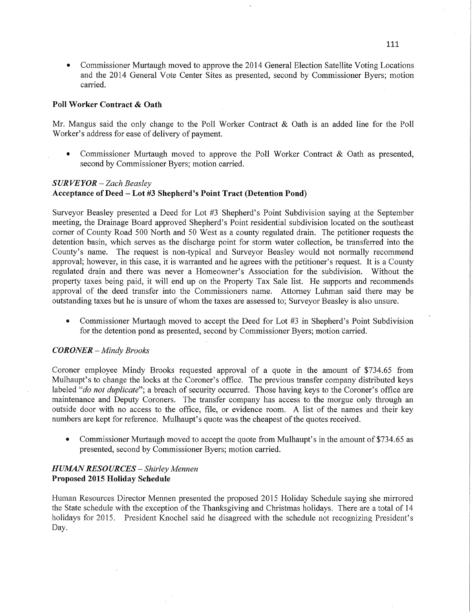• Commissioner Murtaugh moved to approve the 2014 General Election Satellite Voting Locations and the 2014 General Vote Center Sites as presented, second by Commissioner Byers; motion carried.

#### **Poll Worker Contract & Oath**

Mr. Mangus said the only change to the Poll Worker Contract & Oath is an added line for the Poll Worker's address for ease of delivery of payment.

**0** Commissioner Murtaugh moved to approve the P011 Worker Contract & Oath as presented, second by Commissioner Byers; motion carried.

#### *S* UR VE *Y* 0R *— Zach Beasley*

### **Acceptance** of **Deed —** Lot #3 **Shepherd's Point Tract (Detention** Pond)

Surveyor Beasley presented a Deed for Lot #3 Shepherd's Point Subdivision saying at the September meeting, the Drainage Board approved Shepherd's Point residential subdivision located on the southeast corner of County Road 500 North and 50 West as a county regulated drain. The petitioner requests the detention basin, which serves as the discharge point for storm water collection, be transferred into the County's name. The request is non-typical and Surveyor Beasley would not normally recommend approval; however, in this case, it is warranted and he agrees with the petitioner's request. It is a County regulated drain and there was never a Homeowner's Association for the subdivision. Without the property taxeé being paid, it Will end up on the Property Tax Sale **list.** He supports and recommends approval of the deed transfer into the Commissioners name. Attorney Luhman said there may be outstanding taxes but he is unsure of Whom the taxes are assessed to; Surveyor Beasley is also unsure.

**0** Commissioner Murtaugh moved to accept the Deed for Lot #3 in Shepherd's Point Subdivision for the detention pond as presented, second by Commissioner Byers; motion carried.

#### *CORONER* **—** *Mindy Brooks*

Coroner employee Mindy Brooks requested approval of <sup>a</sup>quote in the amount of \$734.65 from Mulhaupt's to change the locks at the Coroner's office. The previous transfer company distributed keys labeled "*do not duplicate*"; a breach of security occurred. Those having keys to the Coroner's office are maintenance and Deputy Coroners. The transfer company has access to the morgue only through an outside door with no access to the office, file, or evidence room. **A** list of the names and their key numbers are kept for reference. Mulhaupt's quote was the cheapest of the quotes received.

**0** Commissioner Murtaugh moved to accept the quote from Mulhaupt's in the amount of \$734.65 as presented, second by Commissioner Byers; motion carried.

### *HUMAN RESOURCES* — *Shirley Mennen*  **Proposed 2015 Holiday** Schedule

Human Resources Director Mennen presented the proposed 2015 Holiday Schedule saying she mirrored the State schedule with the exception of the Thanksgiving and Christmas holidays. There are a total of 14 holidays for 2015. President Knochel said he disagreed with the schedule not recognizing President's Day.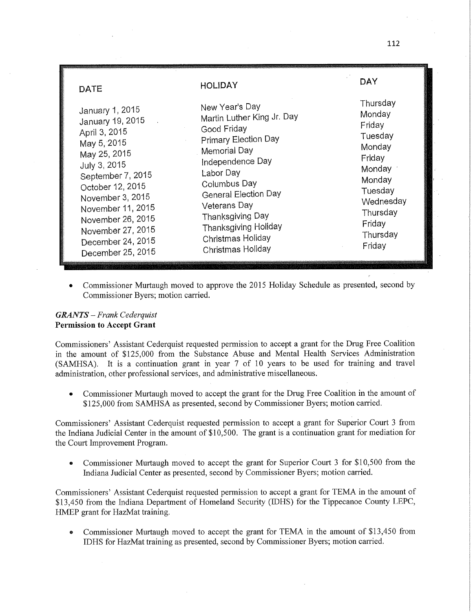| <b>DATE</b>       | <b>HOLIDAY</b>              | DAY       |
|-------------------|-----------------------------|-----------|
| January 1, 2015   | New Year's Day              | Thursday  |
| January 19, 2015  | Martin Luther King Jr. Day  | Monday    |
| April 3, 2015     | Good Friday                 | Friday    |
| May 5, 2015       | <b>Primary Election Day</b> | Tuesday   |
| May 25, 2015      | Memorial Day                | Monday    |
| July 3, 2015      | Independence Day            | Friday    |
| September 7, 2015 | Labor Day                   | Monday    |
| October 12, 2015  | Columbus Day                | Monday    |
| November 3, 2015  | <b>General Election Day</b> | Tuesday   |
| November 11, 2015 | Veterans Day                | Wednesday |
| November 26, 2015 | Thanksgiving Day            | Thursday  |
| November 27, 2015 | Thanksgiving Holiday        | Friday    |
| December 24, 2015 | Christmas Holiday           | Thursday  |
| December 25, 2015 | Christmas Holiday           | Friday    |

**0** Commissioner Murtaugh moved to approve the 2015 Holiday Schedule as presented, second by Commissioner Byers; motion carried.

### *GRANTS* **—** *Frank Cederquist*  **Permission** to **Accept Grant**

Commissioners' Assistant Cederquist requested permission to accept a grant for the Drug Free Coalition in the amount of \$125,000 fiom the Substance Abuse and Mental Health Services Administration (SAMHSA). It is a continuation **grant** in year 7 of 10 years to be used for training and travel administration, other professional services, and administrative miscellaneous.

**0** Commissioner Murtaugh moved to accept the grant for the Drug Free Coalition in the amount of \$125,000 from **SAMHSA** as presented, second by Commissioner Byers; motion carried.

Commissioners' Assistant Cederquist requested permission to accept **a** grant for Supérior Court 3 fiom the Indiana Judicial Center in the amount of \$10,500. The grant is a continuation **grant** for mediation for the Court Improvement Program.

**0** Commissioner Murtaugh moved to accept the grant for Superior Court 3 for \$10,500 from the Indiana Judicial Center as presented, second by Commissioner Byers; motion carried.

Commissioners' Assistant Cederquist requested permission to accept a grant for TEMA in the **amount** of \$13,450 from the Indiana Department of Homeland Security (IDHS) for the Tippecanoe County LEPC, HMEP grant for HazMat training.

**<sup>0</sup>**Commissioner Murtaugh moved to accept the grant for TEMA in the amount of \$13,450 from IDHS for HazMat training as presented, second by Commissioner Byers; motion carried.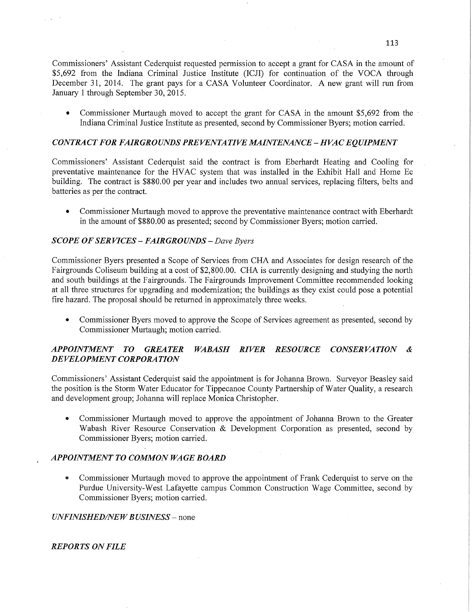Commissioners' Assistant Cederquist requested permission to accept <sup>a</sup>grant for CASA in the amount of \$5,692 from the Indiana Criminal Justice Institute (ICJI) for continuation of the VOCA through December 31, 2014. The grant pays for a CASA Volunteer Coordinator. A new grant will run from January 1 through September 30, 2015.

**0** Commissioner Murtaugh moved to accept the grant for **CASA** in the amount \$5,692 from the *-* Indiana Criminal Justice Institute as presented, second by Commissioner Byers; motion carried.

### *CONTRA* CT FOR *FAIRGROUNDS* PRE *VENTA* TI VE *AIAINTENANCE* **—** *H* VAC *EQUIPMENT*

Commissioners' Assistant Cederquist said the contract is from Eberhardt Heating and Cooling for preventative maintenance for the HVAC system that was installed in the Exhibit Hall and Home Ec building. The contract is \$880.00 per year and includes two annual services, replacing filters, belts and batteries as per the contract.

**0** Commissioner Murtaugh moved to approve the preventative maintenance contract with Eberhardt in the amount of \$880.00 as presented; second by Commissioner Byers; motion carried.

### *SCOPE* OF SER VI CES — *FAIRGROUNDS* **—** *Dave Byers*

Commissioner Byers presented a Scope of Services from CHA and Associates for design research of the Fairgrounds Coliseum building at a cost of \$2,800.00. CHA is currently designing and studying the north and south buildings at the Fairgrounds. The Fairgrounds Improvement Committee recommended looking at all three structures for upgrading and modernization; the buildings as they exist could pose a potential fire hazard. The proposal should be returned in approximately three weeks.

**0** Commissioner Byers moved to approve the Scope of Services agreement as presented, second by Commissioner Murtaugh; motion carried.

### *APPOINTMENT* T0 *GREATER WABASH RIVER RESOURCE CONSERVATION & DEVELOPMENT CORPORATION*

Commissioners' Assistant Cederquist said the appointment is for Johanna Brown. Surveyor Beasley said the position is the Storm Water Educator for Tippecanoe County Partnership of Water Quality, **a** research and development group; Johanna will replace Monica Christopher.

**0** Commissioner Murtaugh moved to approve the appointment of Johanna Brown to the Greater Wabash River Resource Conservation & Development Corporation as presented, second by Commissioner Byers; motion carried.

### *APPOINTMENT* T0 *COMMON* WA GE *BOARD*

**0** Commissioner Murtaugh moved to approve the appointment of Frank Cederquist to serve on the Purdue University-West Lafayette campus Common Construction Wage Committee, second by Commissioner Byers; motion carried.

*UNFINISHED/NEW BUSINESS* – none

*REPORTS* ON *FILE*